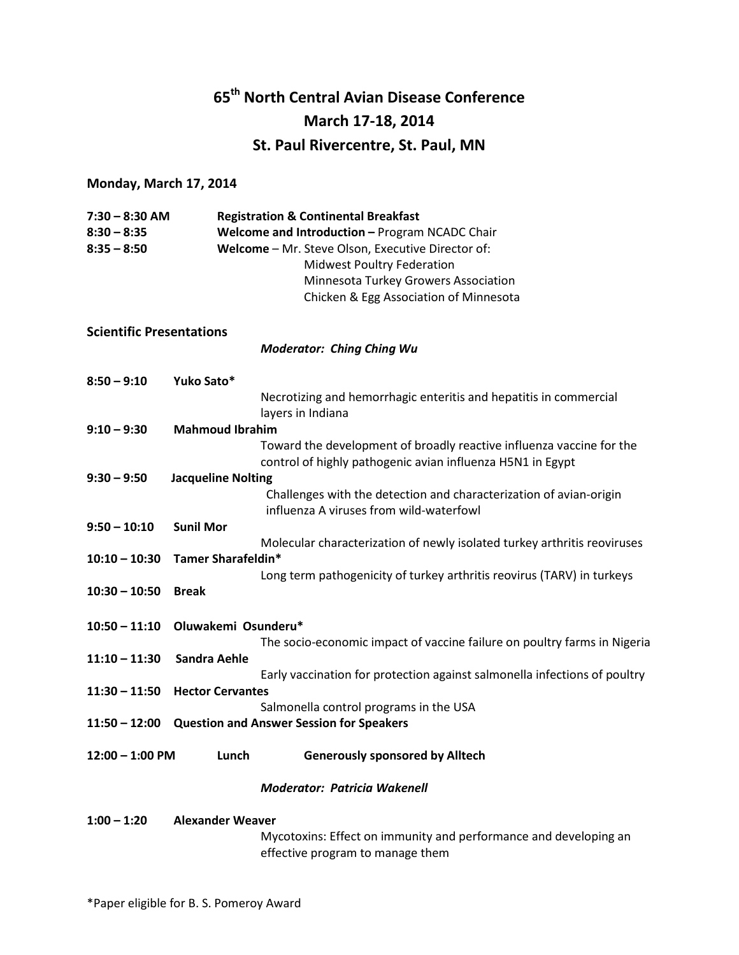# **65th North Central Avian Disease Conference March 17-18, 2014 St. Paul Rivercentre, St. Paul, MN**

## **Monday, March 17, 2014**

| $7:30 - 8:30$ AM                |                                                   | <b>Registration &amp; Continental Breakfast</b>                                                                                    |  |  |  |
|---------------------------------|---------------------------------------------------|------------------------------------------------------------------------------------------------------------------------------------|--|--|--|
| $8:30 - 8:35$                   |                                                   | Welcome and Introduction - Program NCADC Chair                                                                                     |  |  |  |
| $8:35 - 8:50$                   | Welcome - Mr. Steve Olson, Executive Director of: |                                                                                                                                    |  |  |  |
|                                 |                                                   | Midwest Poultry Federation                                                                                                         |  |  |  |
|                                 |                                                   | Minnesota Turkey Growers Association                                                                                               |  |  |  |
|                                 |                                                   | Chicken & Egg Association of Minnesota                                                                                             |  |  |  |
| <b>Scientific Presentations</b> |                                                   |                                                                                                                                    |  |  |  |
|                                 |                                                   | <b>Moderator: Ching Ching Wu</b>                                                                                                   |  |  |  |
| $8:50 - 9:10$                   | Yuko Sato*                                        |                                                                                                                                    |  |  |  |
|                                 |                                                   | Necrotizing and hemorrhagic enteritis and hepatitis in commercial<br>layers in Indiana                                             |  |  |  |
| $9:10 - 9:30$                   | <b>Mahmoud Ibrahim</b>                            |                                                                                                                                    |  |  |  |
|                                 |                                                   | Toward the development of broadly reactive influenza vaccine for the<br>control of highly pathogenic avian influenza H5N1 in Egypt |  |  |  |
| $9:30 - 9:50$                   | <b>Jacqueline Nolting</b>                         |                                                                                                                                    |  |  |  |
|                                 |                                                   | Challenges with the detection and characterization of avian-origin<br>influenza A viruses from wild-waterfowl                      |  |  |  |
| $9:50 - 10:10$                  | <b>Sunil Mor</b>                                  |                                                                                                                                    |  |  |  |
|                                 |                                                   | Molecular characterization of newly isolated turkey arthritis reoviruses                                                           |  |  |  |
| $10:10 - 10:30$                 | Tamer Sharafeldin*                                |                                                                                                                                    |  |  |  |
|                                 |                                                   | Long term pathogenicity of turkey arthritis reovirus (TARV) in turkeys                                                             |  |  |  |
| $10:30 - 10:50$                 | <b>Break</b>                                      |                                                                                                                                    |  |  |  |
| $10:50 - 11:10$                 | Oluwakemi Osunderu*                               |                                                                                                                                    |  |  |  |
|                                 |                                                   | The socio-economic impact of vaccine failure on poultry farms in Nigeria                                                           |  |  |  |
| $11:10 - 11:30$                 | <b>Sandra Aehle</b>                               |                                                                                                                                    |  |  |  |
|                                 |                                                   | Early vaccination for protection against salmonella infections of poultry                                                          |  |  |  |
| $11:30 - 11:50$                 | <b>Hector Cervantes</b>                           |                                                                                                                                    |  |  |  |
|                                 |                                                   | Salmonella control programs in the USA                                                                                             |  |  |  |
| $11:50 - 12:00$                 |                                                   | <b>Question and Answer Session for Speakers</b>                                                                                    |  |  |  |
| $12:00 - 1:00$ PM               | Lunch                                             | <b>Generously sponsored by Alltech</b>                                                                                             |  |  |  |
|                                 |                                                   | <b>Moderator: Patricia Wakenell</b>                                                                                                |  |  |  |
| $1:00 - 1:20$                   | <b>Alexander Weaver</b>                           |                                                                                                                                    |  |  |  |
|                                 |                                                   | Mycotoxins: Effect on immunity and performance and developing an                                                                   |  |  |  |

effective program to manage them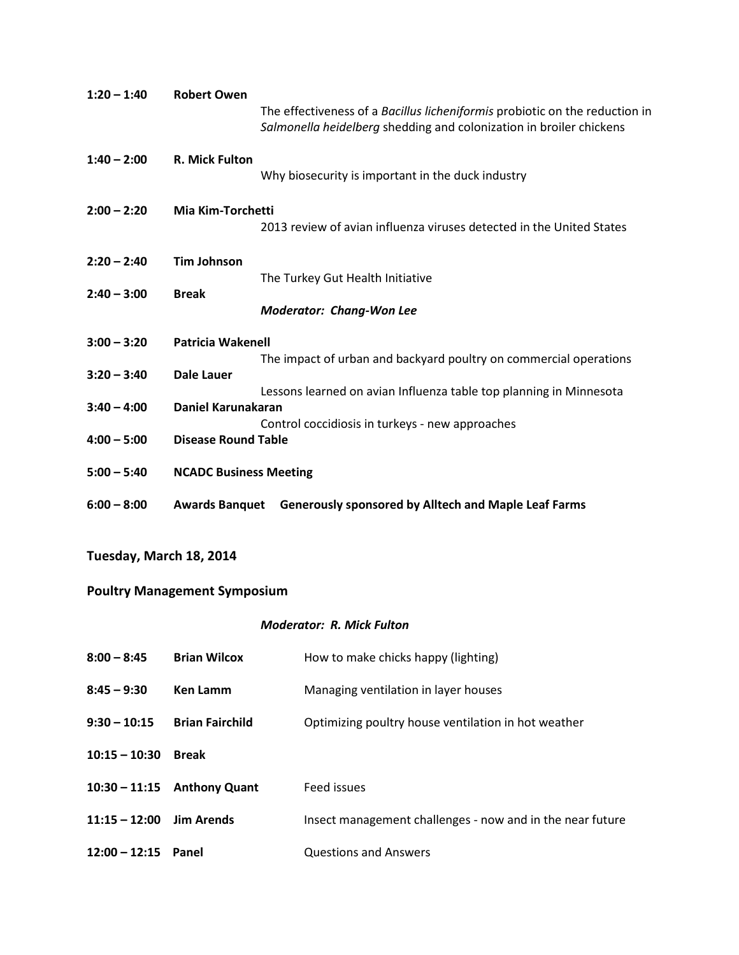| $1:20 - 1:40$ | <b>Robert Owen</b>                                                            |                                                                                                                                                    |
|---------------|-------------------------------------------------------------------------------|----------------------------------------------------------------------------------------------------------------------------------------------------|
|               |                                                                               | The effectiveness of a Bacillus licheniformis probiotic on the reduction in<br>Salmonella heidelberg shedding and colonization in broiler chickens |
| $1:40 - 2:00$ | <b>R. Mick Fulton</b>                                                         | Why biosecurity is important in the duck industry                                                                                                  |
| $2:00 - 2:20$ | Mia Kim-Torchetti                                                             |                                                                                                                                                    |
|               |                                                                               | 2013 review of avian influenza viruses detected in the United States                                                                               |
| $2:20 - 2:40$ | <b>Tim Johnson</b>                                                            |                                                                                                                                                    |
| $2:40 - 3:00$ | <b>Break</b>                                                                  | The Turkey Gut Health Initiative                                                                                                                   |
|               |                                                                               | <b>Moderator: Chang-Won Lee</b>                                                                                                                    |
| $3:00 - 3:20$ | <b>Patricia Wakenell</b>                                                      |                                                                                                                                                    |
| $3:20 - 3:40$ | Dale Lauer                                                                    | The impact of urban and backyard poultry on commercial operations                                                                                  |
|               |                                                                               | Lessons learned on avian Influenza table top planning in Minnesota                                                                                 |
| $3:40 - 4:00$ | Daniel Karunakaran                                                            |                                                                                                                                                    |
| $4:00 - 5:00$ | Control coccidiosis in turkeys - new approaches<br><b>Disease Round Table</b> |                                                                                                                                                    |
| $5:00 - 5:40$ | <b>NCADC Business Meeting</b>                                                 |                                                                                                                                                    |
| $6:00 - 8:00$ | <b>Awards Banguet</b>                                                         | <b>Generously sponsored by Alltech and Maple Leaf Farms</b>                                                                                        |

## **Tuesday, March 18, 2014**

## **Poultry Management Symposium**

#### *Moderator: R. Mick Fulton*

| $8:00 - 8:45$              | <b>Brian Wilcox</b>           | How to make chicks happy (lighting)                       |
|----------------------------|-------------------------------|-----------------------------------------------------------|
| $8:45 - 9:30$              | Ken Lamm                      | Managing ventilation in layer houses                      |
| $9:30 - 10:15$             | <b>Brian Fairchild</b>        | Optimizing poultry house ventilation in hot weather       |
| $10:15 - 10:30$            | <b>Break</b>                  |                                                           |
|                            | $10:30 - 11:15$ Anthony Quant | Feed issues                                               |
| $11:15 - 12:00$ Jim Arends |                               | Insect management challenges - now and in the near future |
| $12:00 - 12:15$ Panel      |                               | <b>Questions and Answers</b>                              |